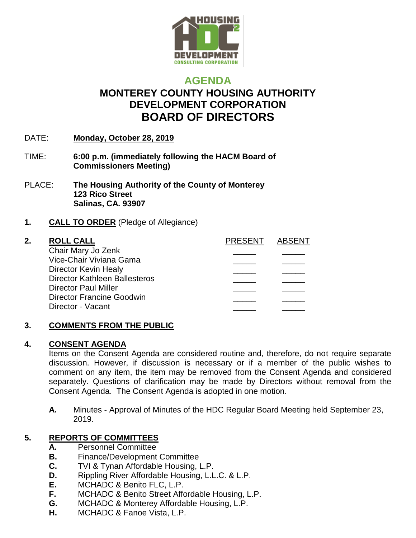

# **AGENDA MONTEREY COUNTY HOUSING AUTHORITY DEVELOPMENT CORPORATION BOARD OF DIRECTORS**

- DATE: **Monday, October 28, 2019**
- TIME: **6:00 p.m. (immediately following the HACM Board of Commissioners Meeting)**
- PLACE: **The Housing Authority of the County of Monterey 123 Rico Street Salinas, CA. 93907**

### **1. CALL TO ORDER** (Pledge of Allegiance)

### **2. ROLL CALL CALL ABSENT ABSENT**

| Chair Mary Jo Zenk                   |  |
|--------------------------------------|--|
| Vice-Chair Viviana Gama              |  |
| Director Kevin Healy                 |  |
| <b>Director Kathleen Ballesteros</b> |  |
| <b>Director Paul Miller</b>          |  |
| Director Francine Goodwin            |  |
| Director - Vacant                    |  |
|                                      |  |

### **3. COMMENTS FROM THE PUBLIC**

### **4. CONSENT AGENDA**

Items on the Consent Agenda are considered routine and, therefore, do not require separate discussion. However, if discussion is necessary or if a member of the public wishes to comment on any item, the item may be removed from the Consent Agenda and considered separately. Questions of clarification may be made by Directors without removal from the Consent Agenda. The Consent Agenda is adopted in one motion.

**A.** Minutes - Approval of Minutes of the HDC Regular Board Meeting held September 23, 2019.

## **5. REPORTS OF COMMITTEES**

- **A.** Personnel Committee
- **B.** Finance/Development Committee
- **C.** TVI & Tynan Affordable Housing, L.P.
- **D.** Rippling River Affordable Housing, L.L.C. & L.P.
- **E.** MCHADC & Benito FLC, L.P.
- **F.** MCHADC & Benito Street Affordable Housing, L.P.
- **G.** MCHADC & Monterey Affordable Housing, L.P.
- **H.** MCHADC & Fanoe Vista, L.P.